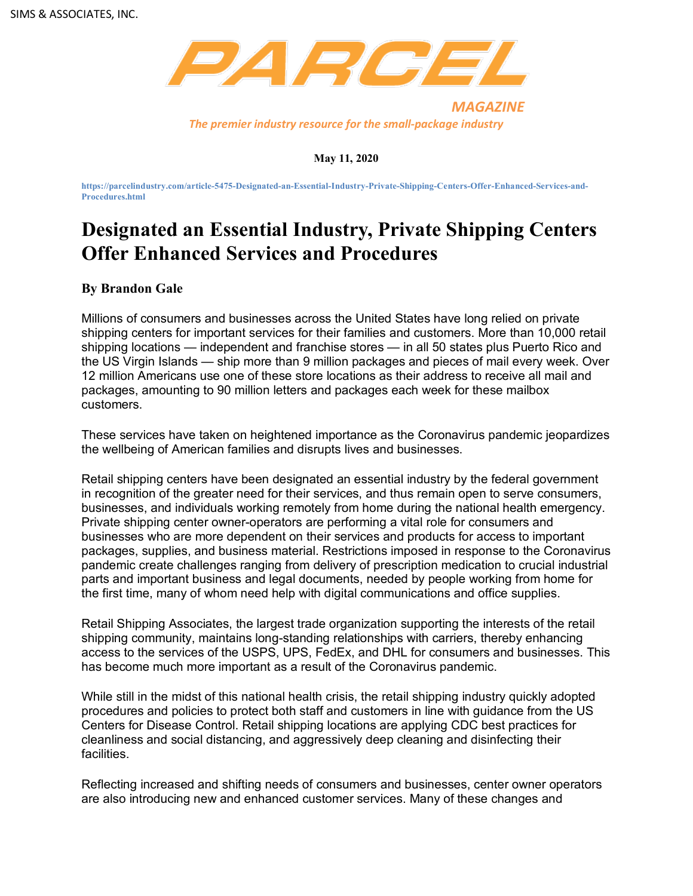

## **May 11, 2020**

**https://parcelindustry.com/article-5475-Designated-an-Essential-Industry-Private-Shipping-Centers-Offer-Enhanced-Services-and-Procedures.html**

## **Designated an Essential Industry, Private Shipping Centers Offer Enhanced Services and Procedures**

## **By Brandon Gale**

Millions of consumers and businesses across the United States have long relied on private shipping centers for important services for their families and customers. More than 10,000 retail shipping locations — independent and franchise stores — in all 50 states plus Puerto Rico and the US Virgin Islands — ship more than 9 million packages and pieces of mail every week. Over 12 million Americans use one of these store locations as their address to receive all mail and packages, amounting to 90 million letters and packages each week for these mailbox customers.

These services have taken on heightened importance as the Coronavirus pandemic jeopardizes the wellbeing of American families and disrupts lives and businesses.

Retail shipping centers have been designated an essential industry by the federal government in recognition of the greater need for their services, and thus remain open to serve consumers, businesses, and individuals working remotely from home during the national health emergency. Private shipping center owner-operators are performing a vital role for consumers and businesses who are more dependent on their services and products for access to important packages, supplies, and business material. Restrictions imposed in response to the Coronavirus pandemic create challenges ranging from delivery of prescription medication to crucial industrial parts and important business and legal documents, needed by people working from home for the first time, many of whom need help with digital communications and office supplies.

Retail Shipping Associates, the largest trade organization supporting the interests of the retail shipping community, maintains long-standing relationships with carriers, thereby enhancing access to the services of the USPS, UPS, FedEx, and DHL for consumers and businesses. This has become much more important as a result of the Coronavirus pandemic.

While still in the midst of this national health crisis, the retail shipping industry quickly adopted procedures and policies to protect both staff and customers in line with guidance from the US Centers for Disease Control. Retail shipping locations are applying CDC best practices for cleanliness and social distancing, and aggressively deep cleaning and disinfecting their facilities.

Reflecting increased and shifting needs of consumers and businesses, center owner operators are also introducing new and enhanced customer services. Many of these changes and